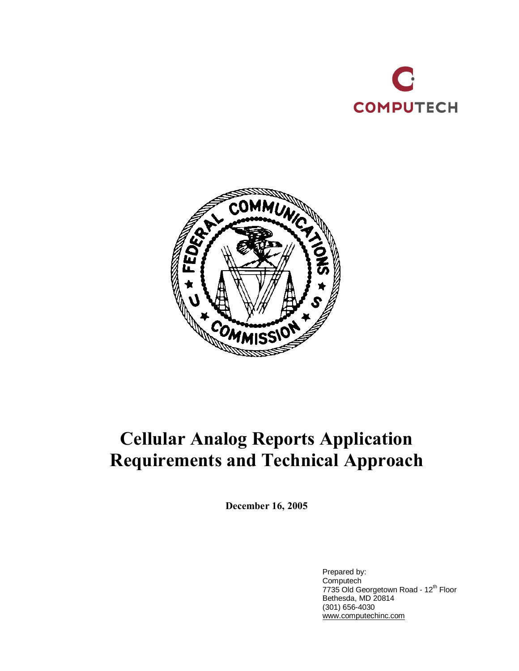# **COMPUTECH**



## **Cellular Analog Reports Application Requirements and Technical Approach**

**December 16, 2005**

Prepared by: Computech 7735 Old Georgetown Road - 12<sup>th</sup> Floor Bethesda, MD 20814 (301) 656-4030 www.computechinc.com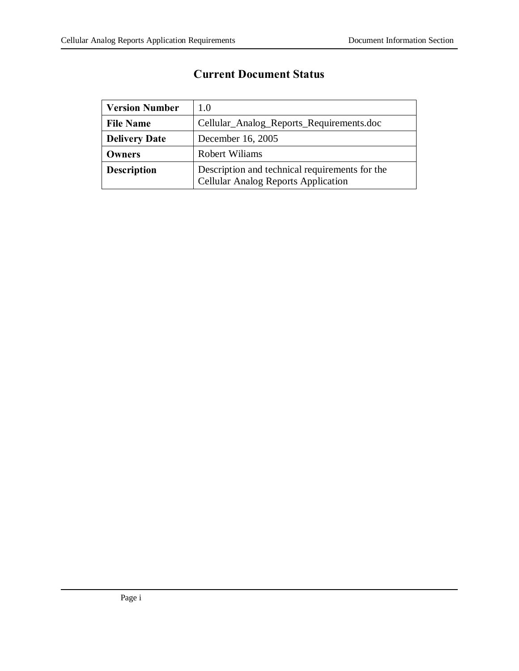## **Current Document Status**

| <b>Version Number</b>                                                                                              | 1.0                                      |  |  |
|--------------------------------------------------------------------------------------------------------------------|------------------------------------------|--|--|
| <b>File Name</b>                                                                                                   | Cellular_Analog_Reports_Requirements.doc |  |  |
| <b>Delivery Date</b>                                                                                               | December 16, 2005                        |  |  |
| Owners                                                                                                             | Robert Williams                          |  |  |
| Description and technical requirements for the<br><b>Description</b><br><b>Cellular Analog Reports Application</b> |                                          |  |  |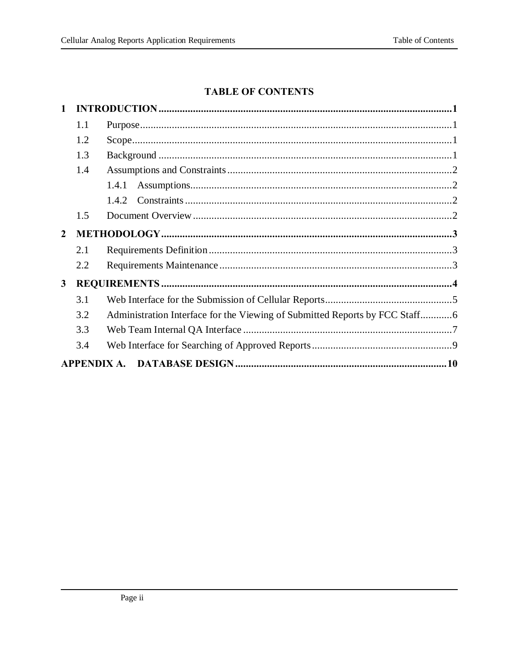#### **TABLE OF CONTENTS**

| $\mathbf{1}$ |     |        |  |
|--------------|-----|--------|--|
|              | 1.1 |        |  |
|              | 1.2 |        |  |
|              | 1.3 |        |  |
|              | 1.4 |        |  |
|              |     | 1.4.1  |  |
|              |     | 1.4.2. |  |
|              | 1.5 |        |  |
| $\mathbf{2}$ |     |        |  |
|              | 2.1 |        |  |
|              | 2.2 |        |  |
| $\mathbf{3}$ |     |        |  |
|              | 3.1 |        |  |
|              | 3.2 |        |  |
|              | 3.3 |        |  |
|              | 3.4 |        |  |
|              |     |        |  |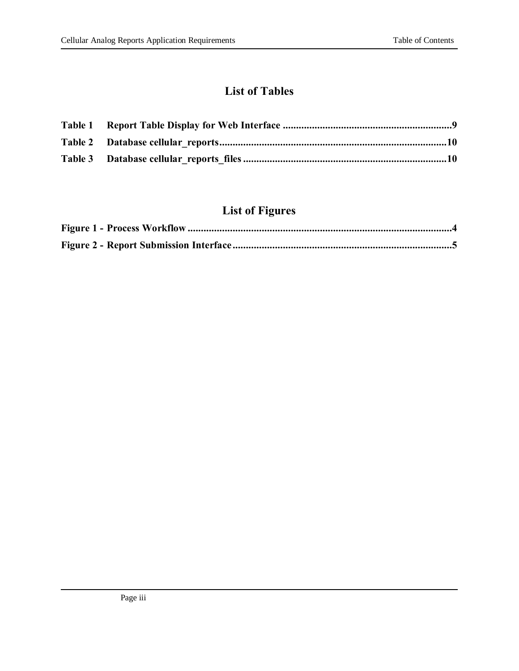## **List of Tables**

## **List of Figures**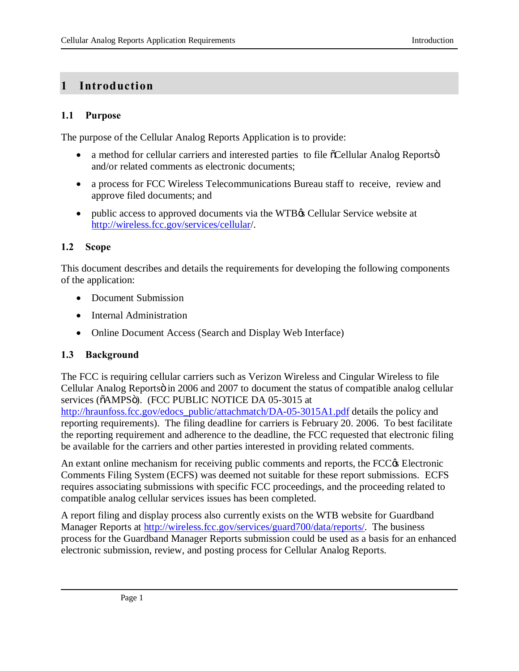## **1 Introduction**

#### **1.1 Purpose**

The purpose of the Cellular Analog Reports Application is to provide:

- a method for cellular carriers and interested parties to file  $\delta$ Cellular Analog Reports $\ddot{o}$ and/or related comments as electronic documents;
- · a process for FCC Wireless Telecommunications Bureau staff to receive, review and approve filed documents; and
- public access to approved documents via the WTB $\alpha$  Cellular Service website at <http://wireless.fcc.gov/services/cellular>/.

#### **1.2 Scope**

This document describes and details the requirements for developing the following components of the application:

- Document Submission
- Internal Administration
- Online Document Access (Search and Display Web Interface)

#### **1.3 Background**

The FCC is requiring cellular carriers such as Verizon Wireless and Cingular Wireless to file Cellular Analog Reports in 2006 and 2007 to document the status of compatible analog cellular services ( $\delta$ AMPS $\ddot{o}$ ). (FCC PUBLIC NOTICE DA 05-3015 at

[http://hraunfoss.fcc.gov/edocs\\_public/attachmatch/DA-05-3015A1.pdf](http://hraunfoss.fcc.gov/edocs_public/attachmatch/DA-05-3015A1.pdf) details the policy and reporting requirements). The filing deadline for carriers is February 20. 2006. To best facilitate the reporting requirement and adherence to the deadline, the FCC requested that electronic filing be available for the carriers and other parties interested in providing related comments.

An extant online mechanism for receiving public comments and reports, the FCC $\alpha$  Electronic Comments Filing System (ECFS) was deemed not suitable for these report submissions. ECFS requires associating submissions with specific FCC proceedings, and the proceeding related to compatible analog cellular services issues has been completed.

<span id="page-4-3"></span><span id="page-4-2"></span><span id="page-4-1"></span><span id="page-4-0"></span>A report filing and display process also currently exists on the WTB website for Guardband Manager Reports at <http://wireless.fcc.gov/services/guard700/data/reports/>. The business process for the Guardband Manager Reports submission could be used as a basis for an enhanced electronic submission, review, and posting process for Cellular Analog Reports.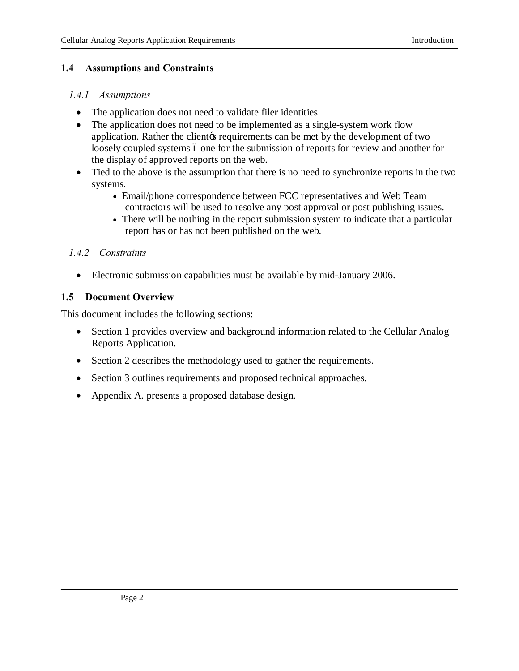#### **1.4 Assumptions and Constraints**

#### *1.4.1 Assumptions*

- The application does not need to validate filer identities.
- The application does not need to be implemented as a single-system work flow application. Rather the client the requirements can be met by the development of two loosely coupled systems 6 one for the submission of reports for review and another for the display of approved reports on the web.
- Tied to the above is the assumption that there is no need to synchronize reports in the two systems.
	- · Email/phone correspondence between FCC representatives and Web Team contractors will be used to resolve any post approval or post publishing issues.
	- · There will be nothing in the report submission system to indicate that a particular report has or has not been published on the web.

#### *1.4.2 Constraints*

• Electronic submission capabilities must be available by mid-January 2006.

#### **1.5 Document Overview**

This document includes the following sections:

- Section 1 provides overview and background information related to the Cellular Analog Reports Application.
- Section 2 describes the methodology used to gather the requirements.
- Section 3 outlines requirements and proposed technical approaches.
- <span id="page-5-3"></span><span id="page-5-2"></span><span id="page-5-1"></span><span id="page-5-0"></span>• Appendix A. presents a proposed database design.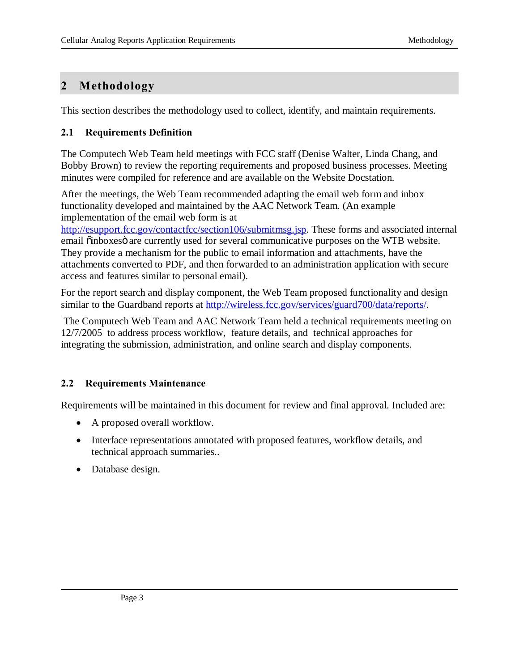## **2 Methodology**

This section describes the methodology used to collect, identify, and maintain requirements.

#### **2.1 Requirements Definition**

The Computech Web Team held meetings with FCC staff (Denise Walter, Linda Chang, and Bobby Brown) to review the reporting requirements and proposed business processes. Meeting minutes were compiled for reference and are available on the Website Docstation.

After the meetings, the Web Team recommended adapting the email web form and inbox functionality developed and maintained by the AAC Network Team. (An example implementation of the email web form is at

<http://esupport.fcc.gov/contactfcc/section106/submitmsg.jsp>. These forms and associated internal email  $\ddot{\text{o}}$  inboxes are currently used for several communicative purposes on the WTB website. They provide a mechanism for the public to email information and attachments, have the attachments converted to PDF, and then forwarded to an administration application with secure access and features similar to personal email).

For the report search and display component, the Web Team proposed functionality and design similar to the Guardband reports at <http://wireless.fcc.gov/services/guard700/data/reports/>.

The Computech Web Team and AAC Network Team held a technical requirements meeting on 12/7/2005 to address process workflow, feature details, and technical approaches for integrating the submission, administration, and online search and display components.

#### **2.2 Requirements Maintenance**

Requirements will be maintained in this document for review and final approval. Included are:

- A proposed overall workflow.
- · Interface representations annotated with proposed features, workflow details, and technical approach summaries..
- <span id="page-6-2"></span><span id="page-6-1"></span><span id="page-6-0"></span>• Database design.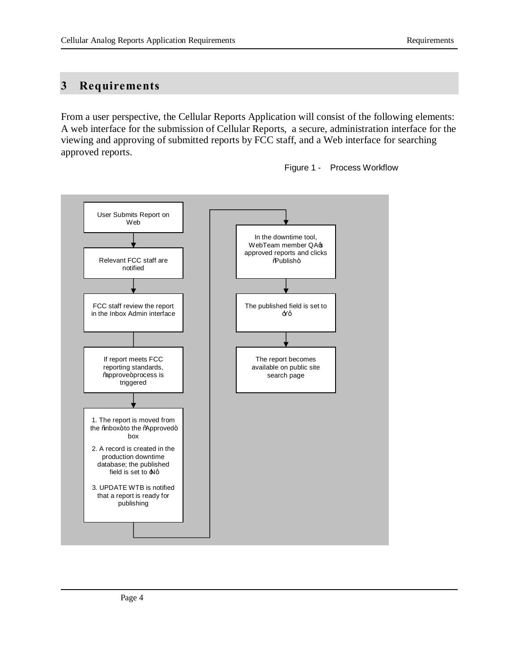## **3 Requirements**

From a user perspective, the Cellular Reports Application will consist of the following elements: A web interface for the submission of Cellular Reports, a secure, administration interface for the viewing and approving of submitted reports by FCC staff, and a Web interface for searching approved reports.



<span id="page-7-0"></span>Figure 1 - Process Workflow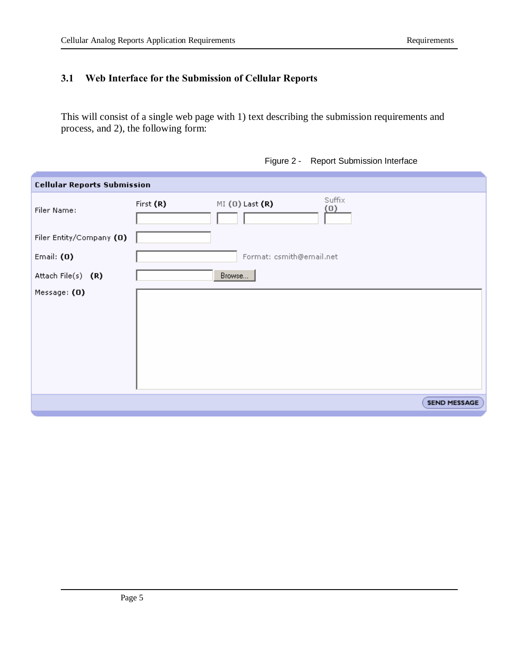#### **3.1 Web Interface for the Submission of Cellular Reports**

This will consist of a single web page with 1) text describing the submission requirements and process, and 2), the following form:

|                                    |             | ີ                        |               |              |
|------------------------------------|-------------|--------------------------|---------------|--------------|
| <b>Cellular Reports Submission</b> |             |                          |               |              |
| Filer Name:                        | First $(R)$ | $MI(0)$ Last $(R)$       | Suffix<br>(0) |              |
| Filer Entity/Company (0)           |             |                          |               |              |
| Email: $(0)$                       |             | Format: csmith@email.net |               |              |
| Attach File(s) (R)                 |             | Browse                   |               |              |
| Message: (0)                       |             |                          |               |              |
|                                    |             |                          |               |              |
|                                    |             |                          |               |              |
|                                    |             |                          |               |              |
|                                    |             |                          |               |              |
|                                    |             |                          |               |              |
|                                    |             |                          |               | SEND MESSAGE |

<span id="page-8-0"></span>Figure 2 - Report Submission Interface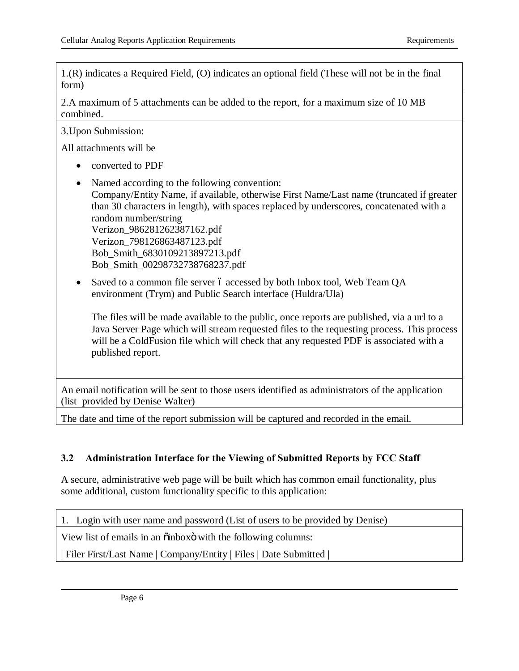1.(R) indicates a Required Field, (O) indicates an optional field (These will not be in the final form)

2.A maximum of 5 attachments can be added to the report, for a maximum size of 10 MB combined.

3.Upon Submission:

All attachments will be

- · converted to PDF
- · Named according to the following convention:

Company/Entity Name, if available, otherwise First Name/Last name (truncated if greater than 30 characters in length), with spaces replaced by underscores, concatenated with a random number/string Verizon\_986281262387162.pdf Verizon\_798126863487123.pdf Bob\_Smith\_6830109213897213.pdf Bob\_Smith\_00298732738768237.pdf

Saved to a common file server 6 accessed by both Inbox tool, Web Team QA environment (Trym) and Public Search interface (Huldra/Ula)

The files will be made available to the public, once reports are published, via a url to a Java Server Page which will stream requested files to the requesting process. This process will be a ColdFusion file which will check that any requested PDF is associated with a published report.

An email notification will be sent to those users identified as administrators of the application (list provided by Denise Walter)

The date and time of the report submission will be captured and recorded in the email.

#### **3.2 Administration Interface for the Viewing of Submitted Reports by FCC Staff**

A secure, administrative web page will be built which has common email functionality, plus some additional, custom functionality specific to this application:

1. Login with user name and password (List of users to be provided by Denise)

View list of emails in an  $\ddot{\text{o}}$  induced with the following columns:

<span id="page-9-0"></span>| Filer First/Last Name | Company/Entity | Files | Date Submitted |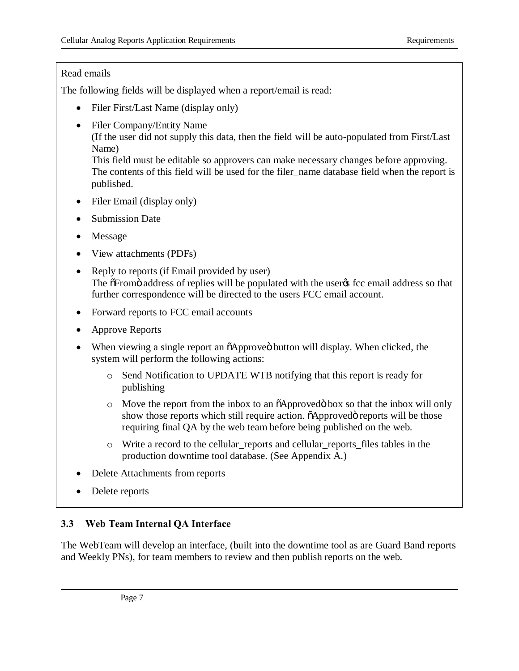#### Read emails

The following fields will be displayed when a report/email is read:

- Filer First/Last Name (display only)
- · Filer Company/Entity Name

(If the user did not supply this data, then the field will be auto-populated from First/Last Name)

This field must be editable so approvers can make necessary changes before approving. The contents of this field will be used for the filer\_name database field when the report is published.

- Filer Email (display only)
- **Submission Date**
- · Message
- View attachments (PDFs)
- Reply to reports (if Email provided by user) The  $\tilde{\sigma}$ From $\tilde{\sigma}$  address of replies will be populated with the user $\alpha$  fcc email address so that further correspondence will be directed to the users FCC email account.
- Forward reports to FCC email accounts
- Approve Reports
- When viewing a single report an  $\tilde{o}$ Approve $\tilde{o}$  button will display. When clicked, the system will perform the following actions:
	- o Send Notification to UPDATE WTB notifying that this report is ready for publishing
	- $\circ$  Move the report from the inbox to an  $\tilde{o}$ Approved $\ddot{o}$  box so that the inbox will only show those reports which still require action.  $\delta$ Approved $\delta$  reports will be those requiring final QA by the web team before being published on the web.
	- o Write a record to the cellular\_reports and cellular\_reports\_files tables in the production downtime tool database. (See Appendix A.)
- Delete Attachments from reports
- Delete reports

#### **3.3 Web Team Internal QA Interface**

<span id="page-10-0"></span>The WebTeam will develop an interface, (built into the downtime tool as are Guard Band reports and Weekly PNs), for team members to review and then publish reports on the web.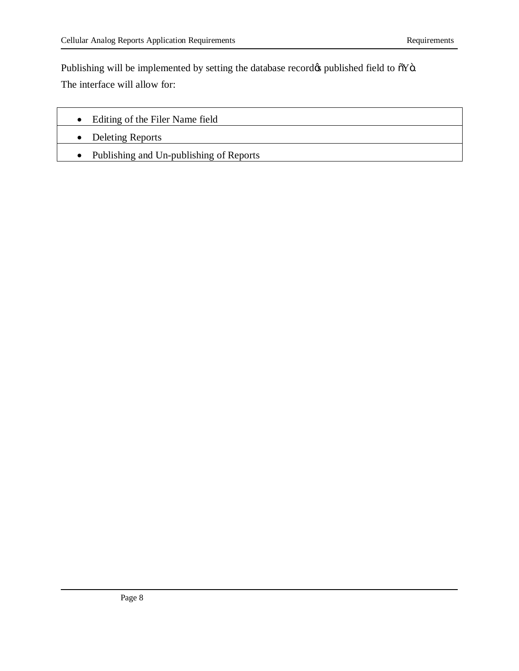Publishing will be implemented by setting the database recordes published field to  $\tilde{o}Y\tilde{o}$ . The interface will allow for:

- · Editing of the Filer Name field
	- Deleting Reports
	- · Publishing and Un-publishing of Reports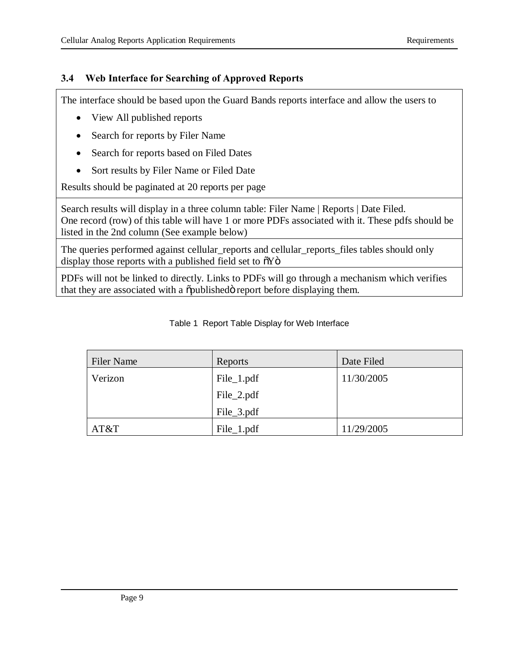#### **3.4 Web Interface for Searching of Approved Reports**

The interface should be based upon the Guard Bands reports interface and allow the users to

- View All published reports
- Search for reports by Filer Name
- · Search for reports based on Filed Dates
- Sort results by Filer Name or Filed Date

Results should be paginated at 20 reports per page

Search results will display in a three column table: Filer Name | Reports | Date Filed. One record (row) of this table will have 1 or more PDFs associated with it. These pdfs should be listed in the 2nd column (See example below)

The queries performed against cellular\_reports and cellular\_reports\_files tables should only display those reports with a published field set to  $\delta Y \ddot{\mathrm{o}}$ 

PDFs will not be linked to directly. Links to PDFs will go through a mechanism which verifies that they are associated with a  $\ddot{\text{o}}$  published  $\ddot{\text{o}}$  report before displaying them.

<span id="page-12-0"></span>Table 1 Report Table Display for Web Interface

| Filer Name | Reports       | Date Filed |
|------------|---------------|------------|
| Verizon    | File_1.pdf    | 11/30/2005 |
|            | File_2.pdf    |            |
|            | File_3.pdf    |            |
| AT&T       | $File\_1.pdf$ | 11/29/2005 |